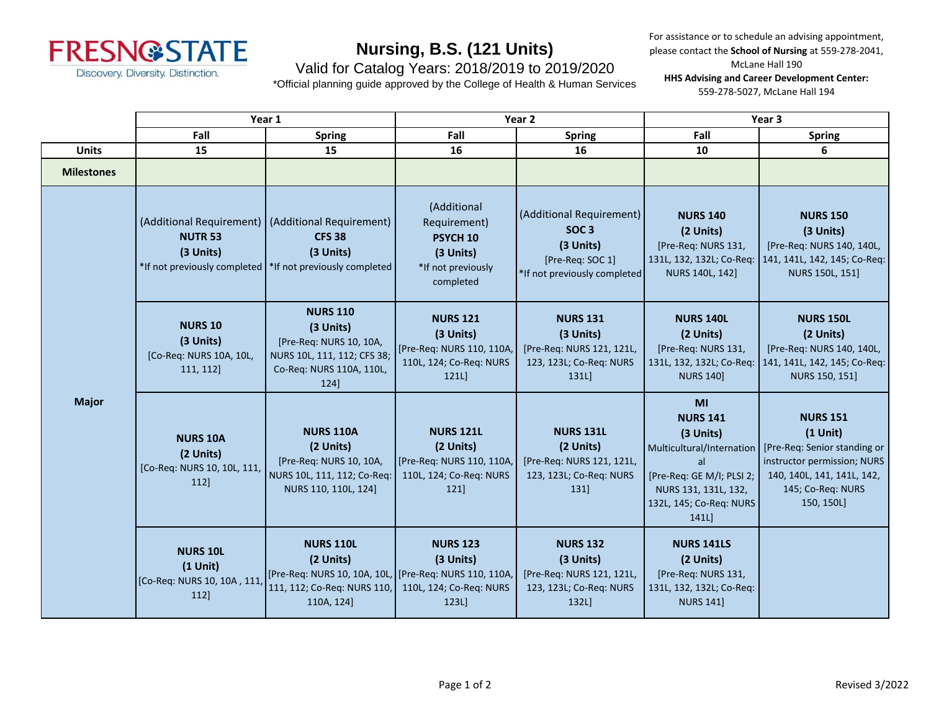

For assistance or to schedule an advising appointment, please contact the **School of Nursing** at 559-278-2041, McLane Hall 190

### Valid for Catalog Years: 2018/2019 to 2019/2020

\*Official planning guide approved by the College of Health & Human Services

**HHS Advising and Career Development Center:** 559-278-5027, McLane Hall 194

|                   | Year 1                                                               |                                                                                                                                                 | Year 2                                                                                             |                                                                                                               | Year 3                                                                                                                                                        |                                                                                                                                                               |
|-------------------|----------------------------------------------------------------------|-------------------------------------------------------------------------------------------------------------------------------------------------|----------------------------------------------------------------------------------------------------|---------------------------------------------------------------------------------------------------------------|---------------------------------------------------------------------------------------------------------------------------------------------------------------|---------------------------------------------------------------------------------------------------------------------------------------------------------------|
|                   | Fall                                                                 | <b>Spring</b>                                                                                                                                   | Fall                                                                                               | <b>Spring</b>                                                                                                 | Fall                                                                                                                                                          | <b>Spring</b>                                                                                                                                                 |
| <b>Units</b>      | 15                                                                   | 15                                                                                                                                              | 16                                                                                                 | 16                                                                                                            | 10                                                                                                                                                            | 6                                                                                                                                                             |
| <b>Milestones</b> |                                                                      |                                                                                                                                                 |                                                                                                    |                                                                                                               |                                                                                                                                                               |                                                                                                                                                               |
| <b>Major</b>      | <b>NUTR 53</b><br>(3 Units)                                          | (Additional Requirement)   (Additional Requirement)<br><b>CFS 38</b><br>(3 Units)<br>*If not previously completed  *If not previously completed | (Additional<br>Requirement)<br>PSYCH <sub>10</sub><br>(3 Units)<br>*If not previously<br>completed | (Additional Requirement)<br>SOC <sub>3</sub><br>(3 Units)<br>[Pre-Req: SOC 1]<br>*If not previously completed | <b>NURS 140</b><br>(2 Units)<br>[Pre-Req: NURS 131,<br>131L, 132, 132L; Co-Req:<br>NURS 140L, 142]                                                            | <b>NURS 150</b><br>(3 Units)<br>[Pre-Req: NURS 140, 140L,<br>141, 141L, 142, 145; Co-Req:<br>NURS 150L, 151]                                                  |
|                   | <b>NURS 10</b><br>(3 Units)<br>[Co-Req: NURS 10A, 10L,<br>111, 112]  | <b>NURS 110</b><br>(3 Units)<br>[Pre-Req: NURS 10, 10A,<br>NURS 10L, 111, 112; CFS 38;<br>Co-Req: NURS 110A, 110L,<br>124]                      | <b>NURS 121</b><br>(3 Units)<br>[Pre-Req: NURS 110, 110A,<br>110L, 124; Co-Req: NURS<br>121L)      | <b>NURS 131</b><br>(3 Units)<br>[Pre-Req: NURS 121, 121L,<br>123, 123L; Co-Req: NURS<br>131L                  | <b>NURS 140L</b><br>(2 Units)<br>[Pre-Req: NURS 131,<br>131L, 132, 132L; Co-Req:<br><b>NURS 140]</b>                                                          | <b>NURS 150L</b><br>(2 Units)<br>[Pre-Req: NURS 140, 140L,<br>141, 141L, 142, 145; Co-Req:<br>NURS 150, 151]                                                  |
|                   | <b>NURS 10A</b><br>(2 Units)<br>[Co-Req: NURS 10, 10L, 111,<br>112]  | <b>NURS 110A</b><br>(2 Units)<br>[Pre-Req: NURS 10, 10A,<br>NURS 10L, 111, 112; Co-Req:<br>NURS 110, 110L, 124]                                 | <b>NURS 121L</b><br>(2 Units)<br>[Pre-Req: NURS 110, 110A,<br>110L, 124; Co-Req: NURS<br>121]      | <b>NURS 131L</b><br>(2 Units)<br>[Pre-Req: NURS 121, 121L,<br>123, 123L; Co-Req: NURS<br>131]                 | MI<br><b>NURS 141</b><br>(3 Units)<br>Multicultural/Internation<br>al<br>[Pre-Req: GE M/I; PLSI 2;<br>NURS 131, 131L, 132,<br>132L, 145; Co-Req: NURS<br>141L | <b>NURS 151</b><br>$(1$ Unit)<br>[Pre-Req: Senior standing or<br>instructor permission; NURS<br>140, 140L, 141, 141L, 142,<br>145; Co-Req: NURS<br>150, 150L] |
|                   | <b>NURS 10L</b><br>$(1$ Unit)<br>[Co-Req: NURS 10, 10A, 111,<br>112] | <b>NURS 110L</b><br>(2 Units)<br>[Pre-Req: NURS 10, 10A, 10L, [Pre-Req: NURS 110, 110A,<br>111, 112; Co-Req: NURS 110,<br>110A, 124]            | <b>NURS 123</b><br>(3 Units)<br>110L, 124; Co-Req: NURS<br>123L                                    | <b>NURS 132</b><br>(3 Units)<br>[Pre-Req: NURS 121, 121L,<br>123, 123L; Co-Req: NURS<br>132L                  | <b>NURS 141LS</b><br>(2 Units)<br>[Pre-Req: NURS 131,<br>131L, 132, 132L; Co-Req:<br><b>NURS 141]</b>                                                         |                                                                                                                                                               |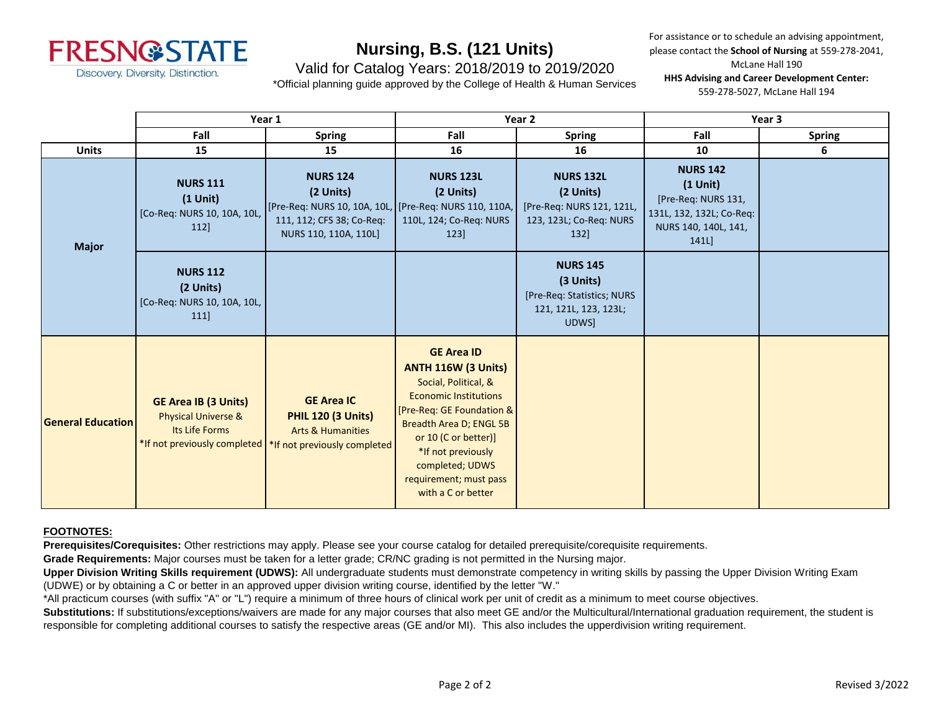

For assistance or to schedule an advising appointment, please contact the **School of Nursing** at 559-278-2041, McLane Hall 190

### Valid for Catalog Years: 2018/2019 to 2019/2020

\*Official planning guide approved by the College of Health & Human Services

**HHS Advising and Career Development Center:** 559-278-5027, McLane Hall 194

|                          | Year 1                                                                          |                                                                                                                                               | Year 2                                                                                                                                                                                                                                                                           |                                                                                               | Year 3                                                                                                           |               |
|--------------------------|---------------------------------------------------------------------------------|-----------------------------------------------------------------------------------------------------------------------------------------------|----------------------------------------------------------------------------------------------------------------------------------------------------------------------------------------------------------------------------------------------------------------------------------|-----------------------------------------------------------------------------------------------|------------------------------------------------------------------------------------------------------------------|---------------|
|                          | Fall                                                                            | <b>Spring</b>                                                                                                                                 | Fall                                                                                                                                                                                                                                                                             | <b>Spring</b>                                                                                 | Fall                                                                                                             | <b>Spring</b> |
| <b>Units</b>             | 15                                                                              | 15                                                                                                                                            | 16                                                                                                                                                                                                                                                                               | 16                                                                                            | 10                                                                                                               | 6             |
| <b>Major</b>             | <b>NURS 111</b><br>$(1$ Unit)<br>[Co-Req: NURS 10, 10A, 10L,<br>112]            | <b>NURS 124</b><br>(2 Units)<br>[Pre-Req: NURS 10, 10A, 10L,<br>111, 112; CFS 38; Co-Req:<br>NURS 110, 110A, 110L]                            | <b>NURS 123L</b><br>(2 Units)<br>[Pre-Req: NURS 110, 110A,<br>110L, 124; Co-Req: NURS<br>123]                                                                                                                                                                                    | <b>NURS 132L</b><br>(2 Units)<br>[Pre-Req: NURS 121, 121L,<br>123, 123L; Co-Reg: NURS<br>132] | <b>NURS 142</b><br>$(1$ Unit)<br>[Pre-Req: NURS 131,<br>131L, 132, 132L; Co-Req:<br>NURS 140, 140L, 141,<br>141L |               |
|                          | <b>NURS 112</b><br>(2 Units)<br>[Co-Req: NURS 10, 10A, 10L,<br>111              |                                                                                                                                               |                                                                                                                                                                                                                                                                                  | <b>NURS 145</b><br>(3 Units)<br>[Pre-Req: Statistics; NURS<br>121, 121L, 123, 123L;<br>UDWS]  |                                                                                                                  |               |
| <b>General Education</b> | <b>GE Area IB (3 Units)</b><br><b>Physical Universe &amp;</b><br>Its Life Forms | <b>GE Area IC</b><br><b>PHIL 120 (3 Units)</b><br><b>Arts &amp; Humanities</b><br>*If not previously completed   *If not previously completed | <b>GE Area ID</b><br><b>ANTH 116W (3 Units)</b><br>Social, Political, &<br><b>Economic Institutions</b><br>[Pre-Req: GE Foundation &<br>Breadth Area D; ENGL 5B<br>or 10 (C or better)]<br>*If not previously<br>completed; UDWS<br>requirement; must pass<br>with a C or better |                                                                                               |                                                                                                                  |               |

#### **FOOTNOTES:**

**Prerequisites/Corequisites:** Other restrictions may apply. Please see your course catalog for detailed prerequisite/corequisite requirements.

**Grade Requirements:** Major courses must be taken for a letter grade; CR/NC grading is not permitted in the Nursing major.

**Upper Division Writing Skills requirement (UDWS):** All undergraduate students must demonstrate competency in writing skills by passing the Upper Division Writing Exam (UDWE) or by obtaining a C or better in an approved upper division writing course, identified by the letter "W."

\*All practicum courses (with suffix "A" or "L") require a minimum of three hours of clinical work per unit of credit as a minimum to meet course objectives.

Substitutions: If substitutions/exceptions/waivers are made for any major courses that also meet GE and/or the Multicultural/International graduation requirement, the student is responsible for completing additional courses to satisfy the respective areas (GE and/or MI). This also includes the upperdivision writing requirement.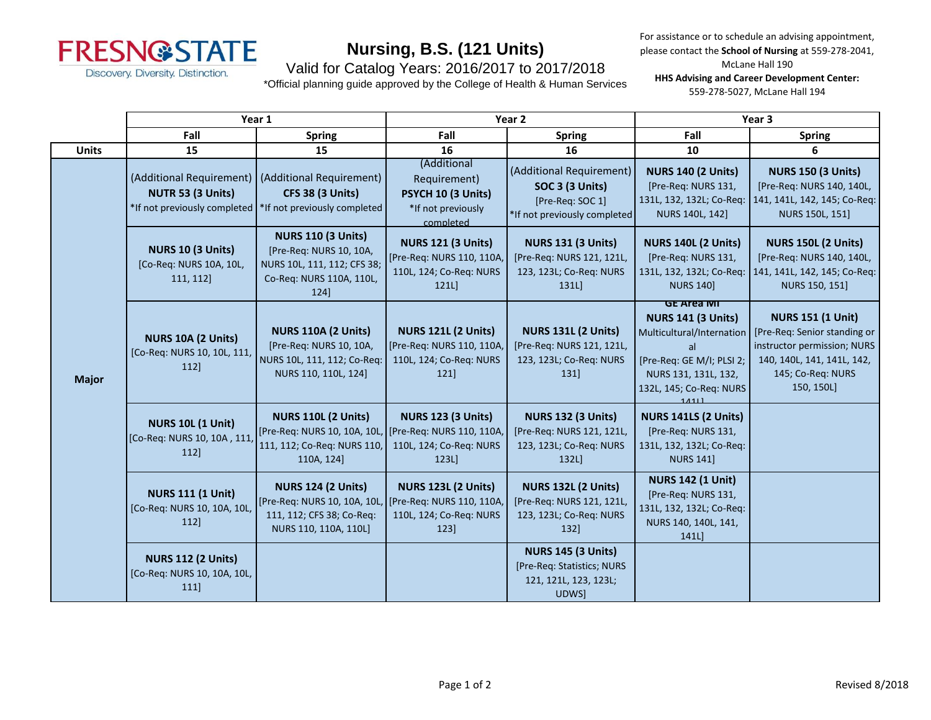

Valid for Catalog Years: 2016/2017 to 2017/2018

\*Official planning guide approved by the College of Health & Human Services

For assistance or to schedule an advising appointment, please contact the **School of Nursing** at 559-278-2041,

McLane Hall 190

**HHS Advising and Career Development Center:** 559-278-5027, McLane Hall 194

|              | Year 1                                                                        |                                                                                                                         | Year 2                                                                                     |                                                                                                 | Year <sub>3</sub>                                                                                                                                                          |                                                                                                                                                          |
|--------------|-------------------------------------------------------------------------------|-------------------------------------------------------------------------------------------------------------------------|--------------------------------------------------------------------------------------------|-------------------------------------------------------------------------------------------------|----------------------------------------------------------------------------------------------------------------------------------------------------------------------------|----------------------------------------------------------------------------------------------------------------------------------------------------------|
|              | Fall                                                                          | <b>Spring</b>                                                                                                           | Fall                                                                                       | <b>Spring</b>                                                                                   | Fall                                                                                                                                                                       | <b>Spring</b>                                                                                                                                            |
| <b>Units</b> | 15                                                                            | 15                                                                                                                      | 16                                                                                         | 16                                                                                              | 10                                                                                                                                                                         | 6                                                                                                                                                        |
| <b>Major</b> | (Additional Requirement)<br>NUTR 53 (3 Units)<br>*If not previously completed | (Additional Requirement)<br><b>CFS 38 (3 Units)</b><br>*If not previously completed                                     | (Additional<br>Requirement)<br>PSYCH 10 (3 Units)<br>*If not previously<br>completed       | (Additional Requirement)<br>SOC 3 (3 Units)<br>[Pre-Req: SOC 1]<br>*If not previously completed | <b>NURS 140 (2 Units)</b><br>[Pre-Req: NURS 131,<br>131L, 132, 132L; Co-Req:<br>NURS 140L, 142]                                                                            | <b>NURS 150 (3 Units)</b><br>[Pre-Req: NURS 140, 140L,<br>141, 141L, 142, 145; Co-Req:<br>NURS 150L, 151]                                                |
|              | NURS 10 (3 Units)<br>[Co-Req: NURS 10A, 10L,<br>111, 112]                     | <b>NURS 110 (3 Units)</b><br>[Pre-Req: NURS 10, 10A,<br>NURS 10L, 111, 112; CFS 38;<br>Co-Req: NURS 110A, 110L,<br>124] | <b>NURS 121 (3 Units)</b><br>[Pre-Req: NURS 110, 110A,<br>110L, 124; Co-Req: NURS<br>121L  | <b>NURS 131 (3 Units)</b><br>[Pre-Req: NURS 121, 121L,<br>123, 123L; Co-Req: NURS<br>131L       | <b>NURS 140L (2 Units)</b><br>[Pre-Req: NURS 131,<br>131L, 132, 132L; Co-Req:<br><b>NURS 140]</b>                                                                          | <b>NURS 150L (2 Units)</b><br>[Pre-Req: NURS 140, 140L,<br>141, 141L, 142, 145; Co-Req:<br>NURS 150, 151]                                                |
|              | NURS 10A (2 Units)<br>[Co-Req: NURS 10, 10L, 111,<br>112]                     | <b>NURS 110A (2 Units)</b><br>[Pre-Req: NURS 10, 10A,<br>NURS 10L, 111, 112; Co-Req:<br>NURS 110, 110L, 124]            | <b>NURS 121L (2 Units)</b><br>[Pre-Req: NURS 110, 110A,<br>110L, 124; Co-Req: NURS<br>121] | <b>NURS 131L (2 Units)</b><br>[Pre-Req: NURS 121, 121L,<br>123, 123L; Co-Req: NURS<br>131]      | <b>GE Area MI</b><br><b>NURS 141 (3 Units)</b><br>Multicultural/Internation<br>al<br>[Pre-Req: GE M/I; PLSI 2;<br>NURS 131, 131L, 132,<br>132L, 145; Co-Req: NURS<br>14111 | <b>NURS 151 (1 Unit)</b><br>[Pre-Req: Senior standing or<br>instructor permission; NURS<br>140, 140L, 141, 141L, 142,<br>145; Co-Req: NURS<br>150, 150L] |
|              | <b>NURS 10L (1 Unit)</b><br>[Co-Req: NURS 10, 10A, 111<br>112]                | <b>NURS 110L (2 Units)</b><br>[Pre-Req: NURS 10, 10A, 10L,<br>111, 112; Co-Req: NURS 110,<br>110A, 124]                 | <b>NURS 123 (3 Units)</b><br>[Pre-Req: NURS 110, 110A,<br>110L, 124; Co-Req: NURS<br>123L  | <b>NURS 132 (3 Units)</b><br>[Pre-Req: NURS 121, 121L,<br>123, 123L; Co-Req: NURS<br>132L)      | NURS 141LS (2 Units)<br>[Pre-Req: NURS 131,<br>131L, 132, 132L; Co-Req:<br><b>NURS 141]</b>                                                                                |                                                                                                                                                          |
|              | <b>NURS 111 (1 Unit)</b><br>[Co-Req: NURS 10, 10A, 10L,<br>112]               | <b>NURS 124 (2 Units)</b><br>[Pre-Req: NURS 10, 10A, 10L,<br>111, 112; CFS 38; Co-Req:<br>NURS 110, 110A, 110L]         | <b>NURS 123L (2 Units)</b><br>[Pre-Req: NURS 110, 110A,<br>110L, 124; Co-Req: NURS<br>123] | <b>NURS 132L (2 Units)</b><br>[Pre-Req: NURS 121, 121L,<br>123, 123L; Co-Req: NURS<br>132       | <b>NURS 142 (1 Unit)</b><br>[Pre-Req: NURS 131,<br>131L, 132, 132L; Co-Req:<br>NURS 140, 140L, 141,<br>141L                                                                |                                                                                                                                                          |
|              | <b>NURS 112 (2 Units)</b><br>[Co-Req: NURS 10, 10A, 10L,<br>111               |                                                                                                                         |                                                                                            | <b>NURS 145 (3 Units)</b><br>[Pre-Req: Statistics; NURS<br>121, 121L, 123, 123L;<br>UDWS]       |                                                                                                                                                                            |                                                                                                                                                          |